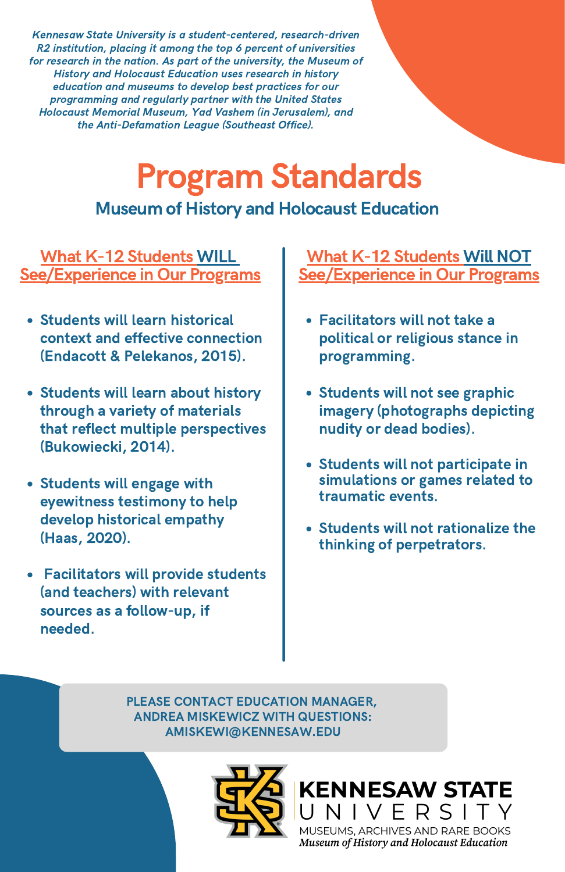PLEASE CONTACT EDUCATION MANAGER, ANDREA MISKEWICZ WITH QUESTIONS: AMISKEWI@KENNESAW.EDU



### **KENNESAW STATE** UNIVERSITY

MUSEUMS, ARCHIVES AND RARE BOOKS Museum of History and Holocaust Education

# Program Standards

#### Museum of History and Holocaust Education

Kennesaw State University is a student-centered, research-driven R2 institution, placing it among the top 6 percent of universities for research in the nation. As part of the university, the Museum of History and Holocaust Education uses research in history education and museums to develop best practices for our programming and regularly partner with the United States Holocaust Memorial Museum, Yad Vashem (in Jerusalem), and the Anti-Defamation League (Southeast Office).

#### What K-12 Students Will NOT See/Experience in Our Programs

#### What K-12 Students WILL See/Experience in Our Programs

- Students will learn historical context and effective connection (Endacott & Pelekanos, 2015).
- Students will learn about history through a variety of materials that reflect multiple perspectives (Bukowiecki, 2014).
- Students will engage with eyewitness testimony to help develop historical empathy (Haas, 2020).
- Facilitators will provide students (and teachers) with relevant sources as a follow-up, if needed.
- Facilitators will not take a political or religious stance in programming.
- Students will not see graphic imagery (photographs depicting nudity or dead bodies).
- Students will not participate in simulations or games related to traumatic events.
- Students will not rationalize the thinking of perpetrators.